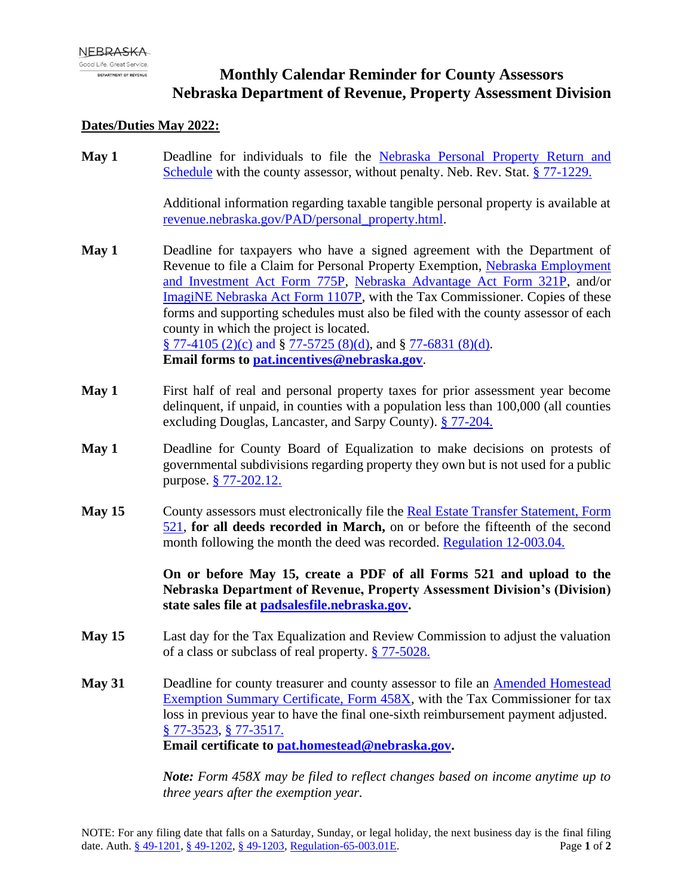## **Monthly Calendar Reminder for County Assessors Nebraska Department of Revenue, Property Assessment Division**

## **Dates/Duties May 2022:**

**May 1** Deadline for individuals to file the [Nebraska Personal Property Return and](https://revenue.nebraska.gov/sites/revenue.nebraska.gov/files/doc/pad/forms/Nebr_Personal_Prop_Return_nocalc-1.pdf)  [Schedule](https://revenue.nebraska.gov/sites/revenue.nebraska.gov/files/doc/pad/forms/Nebr_Personal_Prop_Return_nocalc-1.pdf) with the county assessor, without penalty. Neb. Rev. Stat. [§ 77-1229.](https://nebraskalegislature.gov/laws/statutes.php?statute=77-1229)

> Additional information regarding taxable tangible personal property is available at [revenue.nebraska.gov/PAD/personal\\_property.html.](https://revenue.nebraska.gov/PAD/personal-property)

- **May 1** Deadline for taxpayers who have a signed agreement with the Department of Revenue to file a Claim for Personal Property Exemption, [Nebraska Employment](https://revenue.nebraska.gov/sites/revenue.nebraska.gov/files/doc/pad/forms/775P_NE_Empl_Inv_Growth_Act_Clm.pdf)  [and Investment Act Form 775P,](https://revenue.nebraska.gov/sites/revenue.nebraska.gov/files/doc/pad/forms/775P_NE_Empl_Inv_Growth_Act_Clm.pdf) [Nebraska Advantage Act Form 321P,](https://revenue.nebraska.gov/sites/revenue.nebraska.gov/files/doc/pad/forms/312P_Nebr_Advantage_Act_Claim.pdf) and/or [ImagiNE Nebraska Act Form 1107P,](https://revenue.nebraska.gov/sites/revenue.nebraska.gov/files/doc/pad/forms/f_1107p.pdf) with the Tax Commissioner. Copies of these forms and supporting schedules must also be filed with the county assessor of each county in which the project is located. [§ 77-4105 \(2\)\(c\)](https://nebraskalegislature.gov/laws/statutes.php?statute=77-4105) and § [77-5725 \(8\)\(d\),](https://nebraskalegislature.gov/laws/statutes.php?statute=77-5725) and § [77-6831 \(8\)\(d\).](https://nebraskalegislature.gov/laws/statutes.php?statute=77-6831) **Email forms to [pat.incentives@nebraska.gov](mailto:pat.incentives@nebraska.gov)**.
- **May 1** First half of real and personal property taxes for prior assessment year become delinquent, if unpaid, in counties with a population less than 100,000 (all counties excluding Douglas, Lancaster, and Sarpy County). [§ 77-204.](https://nebraskalegislature.gov/laws/statutes.php?statute=77-204)
- **May 1** Deadline for County Board of Equalization to make decisions on protests of governmental subdivisions regarding property they own but is not used for a public purpose. [§ 77-202.12.](https://nebraskalegislature.gov/laws/statutes.php?statute=77-202.12)
- **May 15** County assessors must electronically file the [Real Estate Transfer Statement, Form](https://revenue.nebraska.gov/sites/revenue.nebraska.gov/files/doc/pad/forms/521_Real_Estate_Transfer_Statement.pdf)  [521,](https://revenue.nebraska.gov/sites/revenue.nebraska.gov/files/doc/pad/forms/521_Real_Estate_Transfer_Statement.pdf) **for all deeds recorded in March,** on or before the fifteenth of the second month following the month the deed was recorded. [Regulation 12-003.04.](https://revenue.nebraska.gov/sites/revenue.nebraska.gov/files/doc/legal/regs/pad/Chapter12_Sales_File.pdf)

**On or before May 15, create a PDF of all Forms 521 and upload to the Nebraska Department of Revenue, Property Assessment Division's (Division) state sales file at [padsalesfile.nebraska.gov.](http://padsalesfile.nebraska.gov/)**

- **May 15** Last day for the Tax Equalization and Review Commission to adjust the valuation of a class or subclass of real property. [§ 77-5028.](https://nebraskalegislature.gov/laws/statutes.php?statute=77-5028)
- **May 31** Deadline for county treasurer and county assessor to file an [Amended Homestead](https://revenue.nebraska.gov/sites/revenue.nebraska.gov/files/doc/tax-forms/f_458x.pdf)  [Exemption Summary Certificate, Form 458X,](https://revenue.nebraska.gov/sites/revenue.nebraska.gov/files/doc/tax-forms/f_458x.pdf) with the Tax Commissioner for tax loss in previous year to have the final one-sixth reimbursement payment adjusted. [§ 77-3523,](https://nebraskalegislature.gov/laws/statutes.php?statute=77-3523) [§ 77-3517.](https://nebraskalegislature.gov/laws/statutes.php?statute=77-3517) **Email certificate to [pat.homestead@nebraska.gov.](mailto:pat.homestead@nebraska.gov)**

*Note: Form 458X may be filed to reflect changes based on income anytime up to three years after the exemption year.*